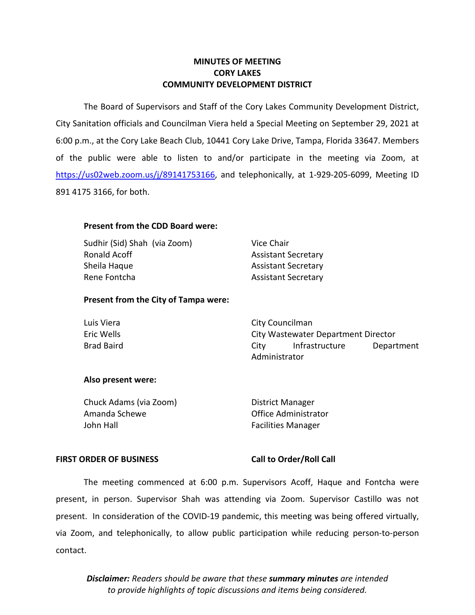# **MINUTES OF MEETING CORY LAKES COMMUNITY DEVELOPMENT DISTRICT**

 The Board of Supervisors and Staff of the Cory Lakes Community Development District, 6:00 p.m., at the Cory Lake Beach Club, 10441 Cory Lake Drive, Tampa, Florida 33647. Members City Sanitation officials and Councilman Viera held a Special Meeting on September 29, 2021 at of the public were able to listen to and/or participate in the meeting via Zoom, at [https://us02web.zoom.us/j/89](https://us02web.zoom.us/j/8)141753166, and telephonically, at 1-929-205-6099, Meeting ID 891 4175 3166, for both.

# **Present from the CDD Board were:**

 Sudhir (Sid) Shah (via Zoom) Vice Chair Ronald Acoff **Assistant Secretary** Sheila Haque **Assistant Secretary** Rene Fontcha Assistant Secretary

# **Present from the City of Tampa were:**

| Luis Viera        | City Councilman                     |                |            |
|-------------------|-------------------------------------|----------------|------------|
| Eric Wells        | City Wastewater Department Director |                |            |
| <b>Brad Baird</b> | City                                | Infrastructure | Department |
|                   | Administrator                       |                |            |

# **Also present were:**

| District Manager          |
|---------------------------|
| Office Administrator      |
| <b>Facilities Manager</b> |
|                           |

## **FIRST ORDER OF BUSINESS Call to Order/Roll Call**

 present. In consideration of the COVID-19 pandemic, this meeting was being offered virtually, via Zoom, and telephonically, to allow public participation while reducing person-to-person The meeting commenced at 6:00 p.m. Supervisors Acoff, Haque and Fontcha were present, in person. Supervisor Shah was attending via Zoom. Supervisor Castillo was not contact.

*Disclaimer: Readers should be aware that these summary minutes are intended to provide highlights of topic discussions and items being considered.*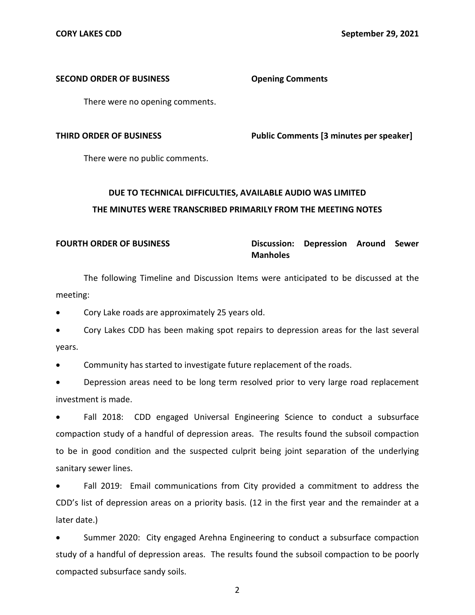## **SECOND ORDER OF BUSINESS Opening Comments**

There were no opening comments.

**THIRD ORDER OF BUSINESS Public Comments [3 minutes per speaker]** 

There were no public comments.

# **DUE TO TECHNICAL DIFFICULTIES, AVAILABLE AUDIO WAS LIMITED THE MINUTES WERE TRANSCRIBED PRIMARILY FROM THE MEETING NOTES**

# **FOURTH ORDER OF BUSINESS Discussion: Depression Around Sewer Manholes**

The following Timeline and Discussion Items were anticipated to be discussed at the meeting:

• Cory Lake roads are approximately 25 years old.

• Cory Lakes CDD has been making spot repairs to depression areas for the last several years.

• Community has started to investigate future replacement of the roads.

• Depression areas need to be long term resolved prior to very large road replacement investment is made.

Fall 2018: CDD engaged Universal Engineering Science to conduct a subsurface compaction study of a handful of depression areas. The results found the subsoil compaction to be in good condition and the suspected culprit being joint separation of the underlying sanitary sewer lines.

• Fall 2019: Email communications from City provided a commitment to address the CDD's list of depression areas on a priority basis. (12 in the first year and the remainder at a later date.)

Summer 2020: City engaged Arehna Engineering to conduct a subsurface compaction study of a handful of depression areas. The results found the subsoil compaction to be poorly compacted subsurface sandy soils.

2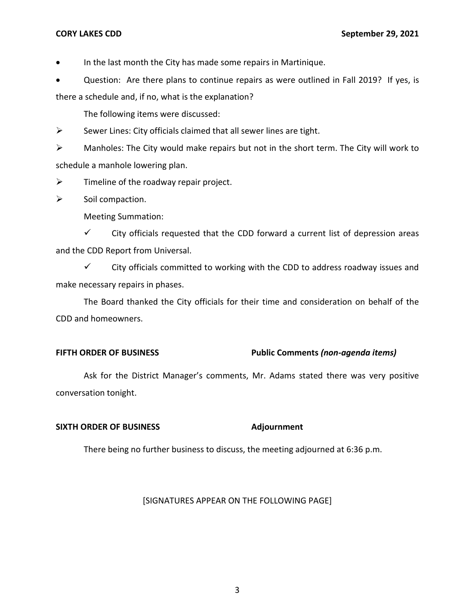• In the last month the City has made some repairs in Martinique.

• Question: Are there plans to continue repairs as were outlined in Fall 2019? If yes, is there a schedule and, if no, what is the explanation?

The following items were discussed:

 $\triangleright$  Sewer Lines: City officials claimed that all sewer lines are tight.

 $\triangleright$  Manholes: The City would make repairs but not in the short term. The City will work to schedule a manhole lowering plan.

 $\triangleright$  Timeline of the roadway repair project.

 $\triangleright$  Soil compaction.

Meeting Summation:

 $\checkmark$  City officials requested that the CDD forward a current list of depression areas and the CDD Report from Universal.

 $\checkmark$  City officials committed to working with the CDD to address roadway issues and make necessary repairs in phases.

The Board thanked the City officials for their time and consideration on behalf of the CDD and homeowners.

# **FIFTH ORDER OF BUSINESS Public Comments** *(non-agenda items)*

Ask for the District Manager's comments, Mr. Adams stated there was very positive conversation tonight.

# **SIXTH ORDER OF BUSINESS** Adjournment

There being no further business to discuss, the meeting adjourned at 6:36 p.m.

# [SIGNATURES APPEAR ON THE FOLLOWING PAGE]